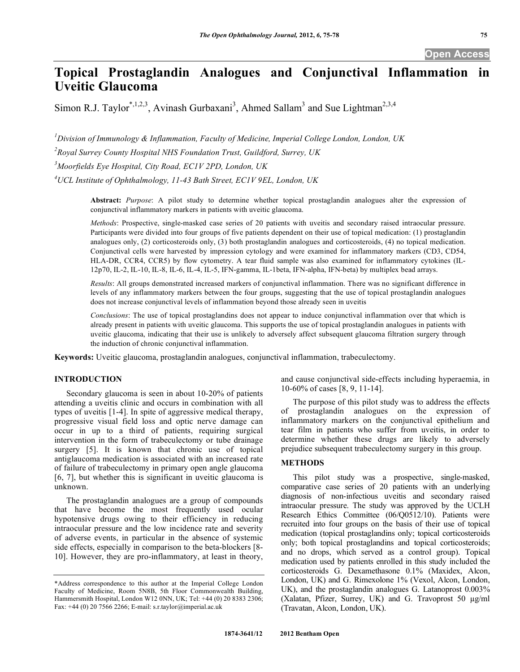# **Topical Prostaglandin Analogues and Conjunctival Inflammation in Uveitic Glaucoma**

Simon R.J. Taylor<sup>\*,1,2,3</sup>, Avinash Gurbaxani<sup>3</sup>, Ahmed Sallam<sup>3</sup> and Sue Lightman<sup>2,3,4</sup>

*1 Division of Immunology & Inflammation, Faculty of Medicine, Imperial College London, London, UK* 

*2 Royal Surrey County Hospital NHS Foundation Trust, Guildford, Surrey, UK* 

*3 Moorfields Eye Hospital, City Road, EC1V 2PD, London, UK* 

*4 UCL Institute of Ophthalmology, 11-43 Bath Street, EC1V 9EL, London, UK* 

**Abstract:** *Purpose*: A pilot study to determine whether topical prostaglandin analogues alter the expression of conjunctival inflammatory markers in patients with uveitic glaucoma.

*Methods*: Prospective, single-masked case series of 20 patients with uveitis and secondary raised intraocular pressure. Participants were divided into four groups of five patients dependent on their use of topical medication: (1) prostaglandin analogues only, (2) corticosteroids only, (3) both prostaglandin analogues and corticosteroids, (4) no topical medication. Conjunctival cells were harvested by impression cytology and were examined for inflammatory markers (CD3, CD54, HLA-DR, CCR4, CCR5) by flow cytometry. A tear fluid sample was also examined for inflammatory cytokines (IL-12p70, IL-2, IL-10, IL-8, IL-6, IL-4, IL-5, IFN-gamma, IL-1beta, IFN-alpha, IFN-beta) by multiplex bead arrays.

*Results*: All groups demonstrated increased markers of conjunctival inflammation. There was no significant difference in levels of any inflammatory markers between the four groups, suggesting that the use of topical prostaglandin analogues does not increase conjunctival levels of inflammation beyond those already seen in uveitis

*Conclusions*: The use of topical prostaglandins does not appear to induce conjunctival inflammation over that which is already present in patients with uveitic glaucoma. This supports the use of topical prostaglandin analogues in patients with uveitic glaucoma, indicating that their use is unlikely to adversely affect subsequent glaucoma filtration surgery through the induction of chronic conjunctival inflammation.

**Keywords:** Uveitic glaucoma, prostaglandin analogues, conjunctival inflammation, trabeculectomy.

## **INTRODUCTION**

 Secondary glaucoma is seen in about 10-20% of patients attending a uveitis clinic and occurs in combination with all types of uveitis [1-4]. In spite of aggressive medical therapy, progressive visual field loss and optic nerve damage can occur in up to a third of patients, requiring surgical intervention in the form of trabeculectomy or tube drainage surgery [5]. It is known that chronic use of topical antiglaucoma medication is associated with an increased rate of failure of trabeculectomy in primary open angle glaucoma [6, 7], but whether this is significant in uveitic glaucoma is unknown.

 The prostaglandin analogues are a group of compounds that have become the most frequently used ocular hypotensive drugs owing to their efficiency in reducing intraocular pressure and the low incidence rate and severity of adverse events, in particular in the absence of systemic side effects, especially in comparison to the beta-blockers [8- 10]. However, they are pro-inflammatory, at least in theory,

and cause conjunctival side-effects including hyperaemia, in 10-60% of cases [8, 9, 11-14].

 The purpose of this pilot study was to address the effects of prostaglandin analogues on the expression of inflammatory markers on the conjunctival epithelium and tear film in patients who suffer from uveitis, in order to determine whether these drugs are likely to adversely prejudice subsequent trabeculectomy surgery in this group.

## **METHODS**

 This pilot study was a prospective, single-masked, comparative case series of 20 patients with an underlying diagnosis of non-infectious uveitis and secondary raised intraocular pressure. The study was approved by the UCLH Research Ethics Committee (06/Q0512/10). Patients were recruited into four groups on the basis of their use of topical medication (topical prostaglandins only; topical corticosteroids only; both topical prostaglandins and topical corticosteroids; and no drops, which served as a control group). Topical medication used by patients enrolled in this study included the corticosteroids G. Dexamethasone 0.1% (Maxidex, Alcon, London, UK) and G. Rimexolone 1% (Vexol, Alcon, London, UK), and the prostaglandin analogues G. Latanoprost 0.003% (Xalatan, Pfizer, Surrey, UK) and G. Travoprost 50 µg/ml (Travatan, Alcon, London, UK).

<sup>\*</sup>Address correspondence to this author at the Imperial College London Faculty of Medicine, Room 5N8B, 5th Floor Commonwealth Building, Hammersmith Hospital, London W12 0NN, UK; Tel: +44 (0) 20 8383 2306; Fax: +44 (0) 20 7566 2266; E-mail: s.r.taylor@imperial.ac.uk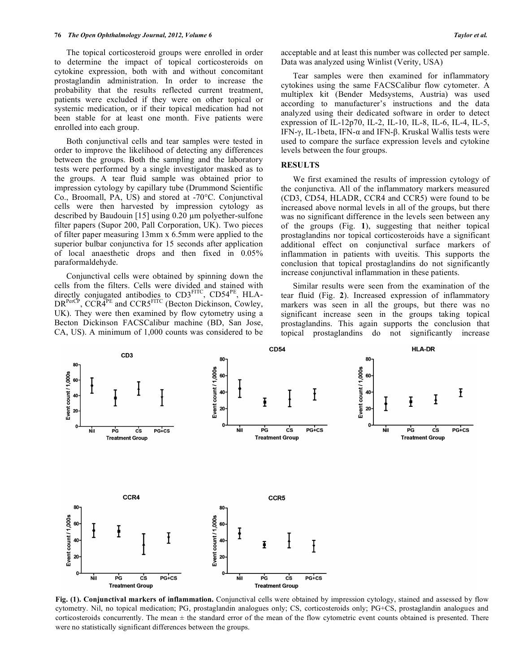The topical corticosteroid groups were enrolled in order to determine the impact of topical corticosteroids on cytokine expression, both with and without concomitant prostaglandin administration. In order to increase the probability that the results reflected current treatment, patients were excluded if they were on other topical or systemic medication, or if their topical medication had not been stable for at least one month. Five patients were enrolled into each group.

 Both conjunctival cells and tear samples were tested in order to improve the likelihood of detecting any differences between the groups. Both the sampling and the laboratory tests were performed by a single investigator masked as to the groups. A tear fluid sample was obtained prior to impression cytology by capillary tube (Drummond Scientific Co., Broomall, PA, US) and stored at -70°C. Conjunctival cells were then harvested by impression cytology as described by Baudouin [15] using  $0.20 \mu m$  polyether-sulfone filter papers (Supor 200, Pall Corporation, UK). Two pieces of filter paper measuring 13mm x 6.5mm were applied to the superior bulbar conjunctiva for 15 seconds after application of local anaesthetic drops and then fixed in 0.05% paraformaldehyde.

 Conjunctival cells were obtained by spinning down the cells from the filters. Cells were divided and stained with directly conjugated antibodies to CD3FITC, CD54<sup>PE</sup>, HLA-DR<sup>PerCP</sup>, CCR4<sup>PE</sup> and CCR5<sup>FITC</sup> (Becton Dickinson, Cowley, UK). They were then examined by flow cytometry using a Becton Dickinson FACSCalibur machine (BD, San Jose, CA, US). A minimum of 1,000 counts was considered to be acceptable and at least this number was collected per sample. Data was analyzed using Winlist (Verity, USA)

 Tear samples were then examined for inflammatory cytokines using the same FACSCalibur flow cytometer. A multiplex kit (Bender Medsystems, Austria) was used according to manufacturer's instructions and the data analyzed using their dedicated software in order to detect expression of IL-12p70, IL-2, IL-10, IL-8, IL-6, IL-4, IL-5, IFN- $\gamma$ , IL-1beta, IFN- $\alpha$  and IFN- $\beta$ . Kruskal Wallis tests were used to compare the surface expression levels and cytokine levels between the four groups.

#### **RESULTS**

 We first examined the results of impression cytology of the conjunctiva. All of the inflammatory markers measured (CD3, CD54, HLADR, CCR4 and CCR5) were found to be increased above normal levels in all of the groups, but there was no significant difference in the levels seen between any of the groups (Fig. **1**), suggesting that neither topical prostaglandins nor topical corticosteroids have a significant additional effect on conjunctival surface markers of inflammation in patients with uveitis. This supports the conclusion that topical prostaglandins do not significantly increase conjunctival inflammation in these patients.

 Similar results were seen from the examination of the tear fluid (Fig. **2**). Increased expression of inflammatory markers was seen in all the groups, but there was no significant increase seen in the groups taking topical prostaglandins. This again supports the conclusion that topical prostaglandins do not significantly increase



**Fig. (1). Conjunctival markers of inflammation.** Conjunctival cells were obtained by impression cytology, stained and assessed by flow cytometry. Nil, no topical medication; PG, prostaglandin analogues only; CS, corticosteroids only; PG+CS, prostaglandin analogues and corticosteroids concurrently. The mean  $\pm$  the standard error of the mean of the flow cytometric event counts obtained is presented. There were no statistically significant differences between the groups.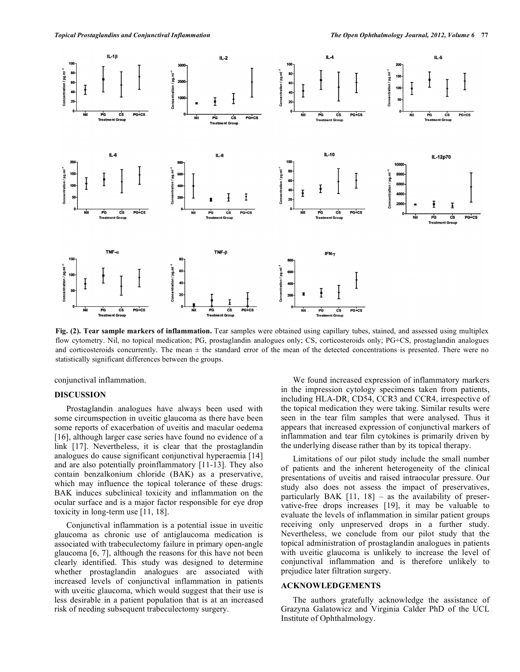

**Fig. (2). Tear sample markers of inflammation.** Tear samples were obtained using capillary tubes, stained, and assessed using multiplex flow cytometry. Nil, no topical medication; PG, prostaglandin analogues only; CS, corticosteroids only; PG+CS, prostaglandin analogues and corticosteroids concurrently. The mean  $\pm$  the standard error of the mean of the detected concentrations is presented. There were no statistically significant differences between the groups.

conjunctival inflammation.

#### **DISCUSSION**

 Prostaglandin analogues have always been used with some circumspection in uveitic glaucoma as there have been some reports of exacerbation of uveitis and macular oedema [16], although larger case series have found no evidence of a link [17]. Nevertheless, it is clear that the prostaglandin analogues do cause significant conjunctival hyperaemia [14] and are also potentially proinflammatory [11-13]. They also contain benzalkonium chloride (BAK) as a preservative, which may influence the topical tolerance of these drugs: BAK induces subclinical toxicity and inflammation on the ocular surface and is a major factor responsible for eye drop toxicity in long-term use [11, 18].

 Conjunctival inflammation is a potential issue in uveitic glaucoma as chronic use of antiglaucoma medication is associated with trabeculectomy failure in primary open-angle glaucoma [6, 7], although the reasons for this have not been clearly identified. This study was designed to determine whether prostaglandin analogues are associated with increased levels of conjunctival inflammation in patients with uveitic glaucoma, which would suggest that their use is less desirable in a patient population that is at an increased risk of needing subsequent trabeculectomy surgery.

 We found increased expression of inflammatory markers in the impression cytology specimens taken from patients, including HLA-DR, CD54, CCR3 and CCR4, irrespective of the topical medication they were taking. Similar results were seen in the tear film samples that were analysed. Thus it appears that increased expression of conjunctival markers of inflammation and tear film cytokines is primarily driven by the underlying disease rather than by its topical therapy.

 Limitations of our pilot study include the small number of patients and the inherent heterogeneity of the clinical presentations of uveitis and raised intraocular pressure. Our study also does not assess the impact of preservatives, particularly BAK  $[11, 18]$  – as the availability of preservative-free drops increases [19], it may be valuable to evaluate the levels of inflammation in similar patient groups receiving only unpreserved drops in a further study. Nevertheless, we conclude from our pilot study that the topical administration of prostaglandin analogues in patients with uveitic glaucoma is unlikely to increase the level of conjunctival inflammation and is therefore unlikely to prejudice later filtration surgery.

### **ACKNOWLEDGEMENTS**

 The authors gratefully acknowledge the assistance of Grazyna Galatowicz and Virginia Calder PhD of the UCL Institute of Ophthalmology.